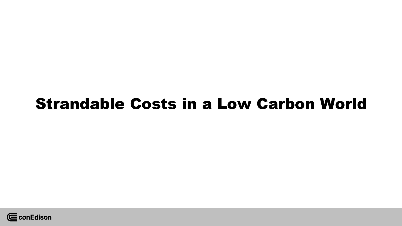# Strandable Costs in a Low Carbon World

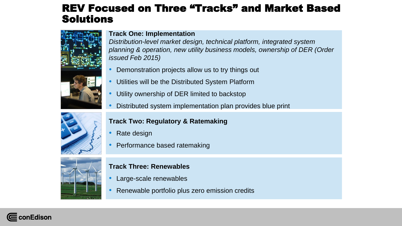### REV Focused on Three "Tracks" and Market Based Solutions



**Track One: Implementation**

*Distribution-level market design, technical platform, integrated system planning & operation, new utility business models, ownership of DER (Order issued Feb 2015)*

- Demonstration projects allow us to try things out
- Utilities will be the Distributed System Platform
- Utility ownership of DER limited to backstop
- Distributed system implementation plan provides blue print



#### **Track Two: Regulatory & Ratemaking**

- Rate design
- Performance based ratemaking



#### **Track Three: Renewables**

- Large-scale renewables
- Renewable portfolio plus zero emission credits

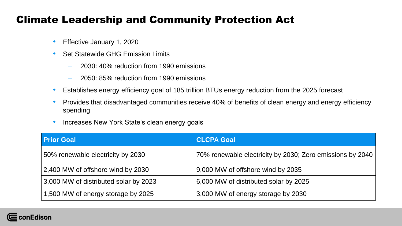### Climate Leadership and Community Protection Act

- Effective January 1, 2020
- Set Statewide GHG Emission Limits
	- 2030: 40% reduction from 1990 emissions
	- 2050: 85% reduction from 1990 emissions
- Establishes energy efficiency goal of 185 trillion BTUs energy reduction from the 2025 forecast
- Provides that disadvantaged communities receive 40% of benefits of clean energy and energy efficiency spending
- Increases New York State's clean energy goals

| <b>Prior Goal</b>                     | <b>CLCPA Goal</b>                                         |
|---------------------------------------|-----------------------------------------------------------|
| 50% renewable electricity by 2030     | 70% renewable electricity by 2030; Zero emissions by 2040 |
| 2,400 MW of offshore wind by 2030     | 9,000 MW of offshore wind by 2035                         |
| 3,000 MW of distributed solar by 2023 | 6,000 MW of distributed solar by 2025                     |
| 1,500 MW of energy storage by 2025    | 3,000 MW of energy storage by 2030                        |

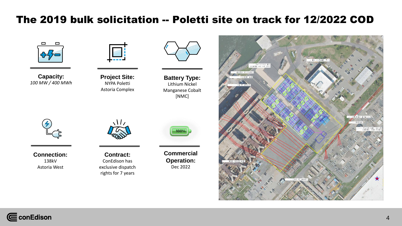### The 2019 bulk solicitation -- Poletti site on track for 12/2022 COD



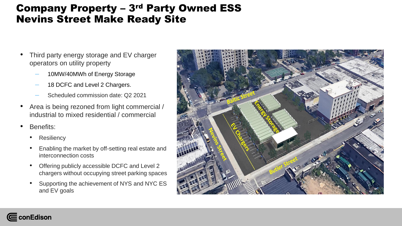### Company Property – 3rd Party Owned ESS Nevins Street Make Ready Site

- Third party energy storage and EV charger operators on utility property
	- 10MW/40MWh of Energy Storage
	- 18 DCFC and Level 2 Chargers.
	- Scheduled commission date: Q2 2021
- Area is being rezoned from light commercial / industrial to mixed residential / commercial
- Benefits:
	- Resiliency
	- Enabling the market by off-setting real estate and interconnection costs
	- Offering publicly accessible DCFC and Level 2 chargers without occupying street parking spaces
	- Supporting the achievement of NYS and NYC ES and EV goals